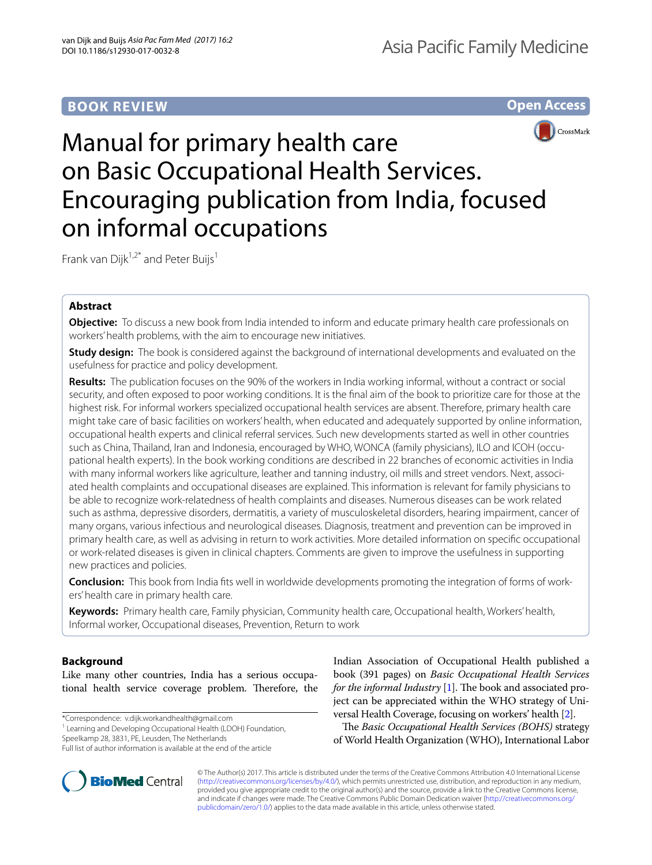# **BOOK REVIEW**

**Open Access**



# Manual for primary health care on Basic Occupational Health Services. Encouraging publication from India, focused on informal occupations

Frank van Dijk<sup>1,2\*</sup> and Peter Buijs<sup>1</sup>

# **Abstract**

**Objective:** To discuss a new book from India intended to inform and educate primary health care professionals on workers' health problems, with the aim to encourage new initiatives.

**Study design:** The book is considered against the background of international developments and evaluated on the usefulness for practice and policy development.

**Results:** The publication focuses on the 90% of the workers in India working informal, without a contract or social security, and often exposed to poor working conditions. It is the final aim of the book to prioritize care for those at the highest risk. For informal workers specialized occupational health services are absent. Therefore, primary health care might take care of basic facilities on workers' health, when educated and adequately supported by online information, occupational health experts and clinical referral services. Such new developments started as well in other countries such as China, Thailand, Iran and Indonesia, encouraged by WHO, WONCA (family physicians), ILO and ICOH (occupational health experts). In the book working conditions are described in 22 branches of economic activities in India with many informal workers like agriculture, leather and tanning industry, oil mills and street vendors. Next, associated health complaints and occupational diseases are explained. This information is relevant for family physicians to be able to recognize work-relatedness of health complaints and diseases. Numerous diseases can be work related such as asthma, depressive disorders, dermatitis, a variety of musculoskeletal disorders, hearing impairment, cancer of many organs, various infectious and neurological diseases. Diagnosis, treatment and prevention can be improved in primary health care, as well as advising in return to work activities. More detailed information on specific occupational or work-related diseases is given in clinical chapters. Comments are given to improve the usefulness in supporting new practices and policies.

**Conclusion:** This book from India fits well in worldwide developments promoting the integration of forms of workers' health care in primary health care.

**Keywords:** Primary health care, Family physician, Community health care, Occupational health, Workers' health, Informal worker, Occupational diseases, Prevention, Return to work

# **Background**

Like many other countries, India has a serious occupational health service coverage problem. Therefore, the

\*Correspondence: v.dijk.workandhealth@gmail.com

<sup>1</sup> Learning and Developing Occupational Health (LDOH) Foundation,

Speelkamp 28, 3831, PE, Leusden, The Netherlands



The *Basic Occupational Health Services (BOHS)* strategy of World Health Organization (WHO), International Labor



Full list of author information is available at the end of the article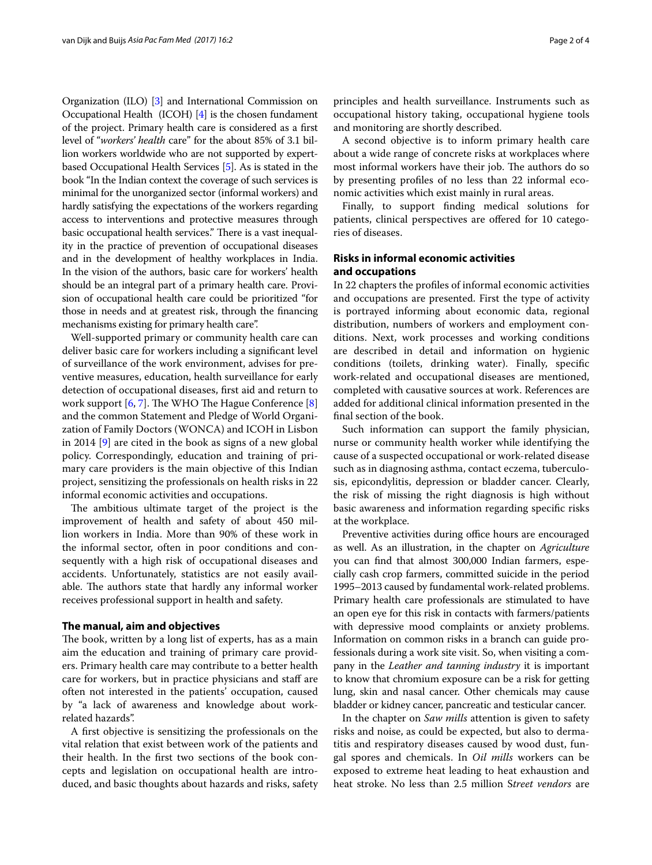Organization (ILO) [\[3](#page-3-2)] and International Commission on Occupational Health (ICOH) [[4](#page-3-3)] is the chosen fundament of the project. Primary health care is considered as a first level of "*workers' health* care" for the about 85% of 3.1 billion workers worldwide who are not supported by expertbased Occupational Health Services [\[5\]](#page-3-4). As is stated in the book "In the Indian context the coverage of such services is minimal for the unorganized sector (informal workers) and hardly satisfying the expectations of the workers regarding access to interventions and protective measures through basic occupational health services." There is a vast inequality in the practice of prevention of occupational diseases and in the development of healthy workplaces in India. In the vision of the authors, basic care for workers' health should be an integral part of a primary health care. Provision of occupational health care could be prioritized "for those in needs and at greatest risk, through the financing mechanisms existing for primary health care".

Well-supported primary or community health care can deliver basic care for workers including a significant level of surveillance of the work environment, advises for preventive measures, education, health surveillance for early detection of occupational diseases, first aid and return to work support [[6,](#page-3-5) [7](#page-3-6)]. The WHO The Hague Conference [\[8](#page-3-7)] and the common Statement and Pledge of World Organization of Family Doctors (WONCA) and ICOH in Lisbon in 2014 [\[9](#page-3-8)] are cited in the book as signs of a new global policy. Correspondingly, education and training of primary care providers is the main objective of this Indian project, sensitizing the professionals on health risks in 22 informal economic activities and occupations.

The ambitious ultimate target of the project is the improvement of health and safety of about 450 million workers in India. More than 90% of these work in the informal sector, often in poor conditions and consequently with a high risk of occupational diseases and accidents. Unfortunately, statistics are not easily available. The authors state that hardly any informal worker receives professional support in health and safety.

## **The manual, aim and objectives**

The book, written by a long list of experts, has as a main aim the education and training of primary care providers. Primary health care may contribute to a better health care for workers, but in practice physicians and staff are often not interested in the patients' occupation, caused by "a lack of awareness and knowledge about workrelated hazards".

A first objective is sensitizing the professionals on the vital relation that exist between work of the patients and their health. In the first two sections of the book concepts and legislation on occupational health are introduced, and basic thoughts about hazards and risks, safety principles and health surveillance. Instruments such as occupational history taking, occupational hygiene tools and monitoring are shortly described.

A second objective is to inform primary health care about a wide range of concrete risks at workplaces where most informal workers have their job. The authors do so by presenting profiles of no less than 22 informal economic activities which exist mainly in rural areas.

Finally, to support finding medical solutions for patients, clinical perspectives are offered for 10 categories of diseases.

# **Risks in informal economic activities and occupations**

In 22 chapters the profiles of informal economic activities and occupations are presented. First the type of activity is portrayed informing about economic data, regional distribution, numbers of workers and employment conditions. Next, work processes and working conditions are described in detail and information on hygienic conditions (toilets, drinking water). Finally, specific work-related and occupational diseases are mentioned, completed with causative sources at work. References are added for additional clinical information presented in the final section of the book.

Such information can support the family physician, nurse or community health worker while identifying the cause of a suspected occupational or work-related disease such as in diagnosing asthma, contact eczema, tuberculosis, epicondylitis, depression or bladder cancer. Clearly, the risk of missing the right diagnosis is high without basic awareness and information regarding specific risks at the workplace.

Preventive activities during office hours are encouraged as well. As an illustration, in the chapter on *Agriculture* you can find that almost 300,000 Indian farmers, especially cash crop farmers, committed suicide in the period 1995–2013 caused by fundamental work-related problems. Primary health care professionals are stimulated to have an open eye for this risk in contacts with farmers/patients with depressive mood complaints or anxiety problems. Information on common risks in a branch can guide professionals during a work site visit. So, when visiting a company in the *Leather and tanning industry* it is important to know that chromium exposure can be a risk for getting lung, skin and nasal cancer. Other chemicals may cause bladder or kidney cancer, pancreatic and testicular cancer.

In the chapter on *Saw mills* attention is given to safety risks and noise, as could be expected, but also to dermatitis and respiratory diseases caused by wood dust, fungal spores and chemicals. In *Oil mills* workers can be exposed to extreme heat leading to heat exhaustion and heat stroke. No less than 2.5 million S*treet vendors* are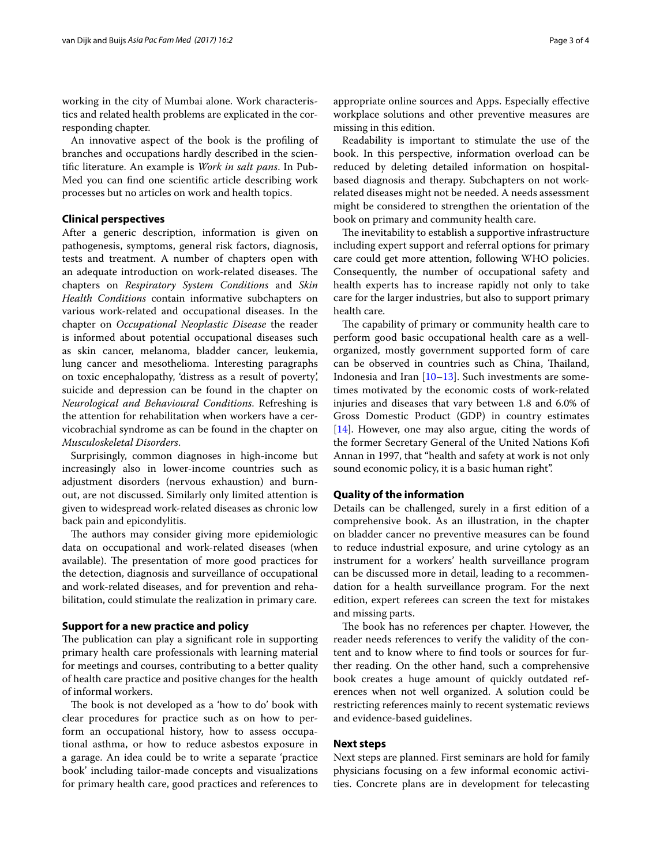working in the city of Mumbai alone. Work characteristics and related health problems are explicated in the corresponding chapter.

An innovative aspect of the book is the profiling of branches and occupations hardly described in the scientific literature. An example is *Work in salt pans*. In Pub-Med you can find one scientific article describing work processes but no articles on work and health topics.

## **Clinical perspectives**

After a generic description, information is given on pathogenesis, symptoms, general risk factors, diagnosis, tests and treatment. A number of chapters open with an adequate introduction on work-related diseases. The chapters on *Respiratory System Conditions* and *Skin Health Conditions* contain informative subchapters on various work-related and occupational diseases. In the chapter on *Occupational Neoplastic Disease* the reader is informed about potential occupational diseases such as skin cancer, melanoma, bladder cancer, leukemia, lung cancer and mesothelioma. Interesting paragraphs on toxic encephalopathy, 'distress as a result of poverty', suicide and depression can be found in the chapter on *Neurological and Behavioural Conditions*. Refreshing is the attention for rehabilitation when workers have a cervicobrachial syndrome as can be found in the chapter on *Musculoskeletal Disorders*.

Surprisingly, common diagnoses in high-income but increasingly also in lower-income countries such as adjustment disorders (nervous exhaustion) and burnout, are not discussed. Similarly only limited attention is given to widespread work-related diseases as chronic low back pain and epicondylitis.

The authors may consider giving more epidemiologic data on occupational and work-related diseases (when available). The presentation of more good practices for the detection, diagnosis and surveillance of occupational and work-related diseases, and for prevention and rehabilitation, could stimulate the realization in primary care.

## **Support for a new practice and policy**

The publication can play a significant role in supporting primary health care professionals with learning material for meetings and courses, contributing to a better quality of health care practice and positive changes for the health of informal workers.

The book is not developed as a 'how to do' book with clear procedures for practice such as on how to perform an occupational history, how to assess occupational asthma, or how to reduce asbestos exposure in a garage. An idea could be to write a separate 'practice book' including tailor-made concepts and visualizations for primary health care, good practices and references to appropriate online sources and Apps. Especially effective workplace solutions and other preventive measures are missing in this edition.

Readability is important to stimulate the use of the book. In this perspective, information overload can be reduced by deleting detailed information on hospitalbased diagnosis and therapy. Subchapters on not workrelated diseases might not be needed. A needs assessment might be considered to strengthen the orientation of the book on primary and community health care.

The inevitability to establish a supportive infrastructure including expert support and referral options for primary care could get more attention, following WHO policies. Consequently, the number of occupational safety and health experts has to increase rapidly not only to take care for the larger industries, but also to support primary health care.

The capability of primary or community health care to perform good basic occupational health care as a wellorganized, mostly government supported form of care can be observed in countries such as China, Thailand, Indonesia and Iran [[10–](#page-3-9)[13](#page-3-10)]. Such investments are sometimes motivated by the economic costs of work-related injuries and diseases that vary between 1.8 and 6.0% of Gross Domestic Product (GDP) in country estimates [[14\]](#page-3-11). However, one may also argue, citing the words of the former Secretary General of the United Nations Kofi Annan in 1997, that "health and safety at work is not only sound economic policy, it is a basic human right".

### **Quality of the information**

Details can be challenged, surely in a first edition of a comprehensive book. As an illustration, in the chapter on bladder cancer no preventive measures can be found to reduce industrial exposure, and urine cytology as an instrument for a workers' health surveillance program can be discussed more in detail, leading to a recommendation for a health surveillance program. For the next edition, expert referees can screen the text for mistakes and missing parts.

The book has no references per chapter. However, the reader needs references to verify the validity of the content and to know where to find tools or sources for further reading. On the other hand, such a comprehensive book creates a huge amount of quickly outdated references when not well organized. A solution could be restricting references mainly to recent systematic reviews and evidence-based guidelines.

#### **Next steps**

Next steps are planned. First seminars are hold for family physicians focusing on a few informal economic activities. Concrete plans are in development for telecasting